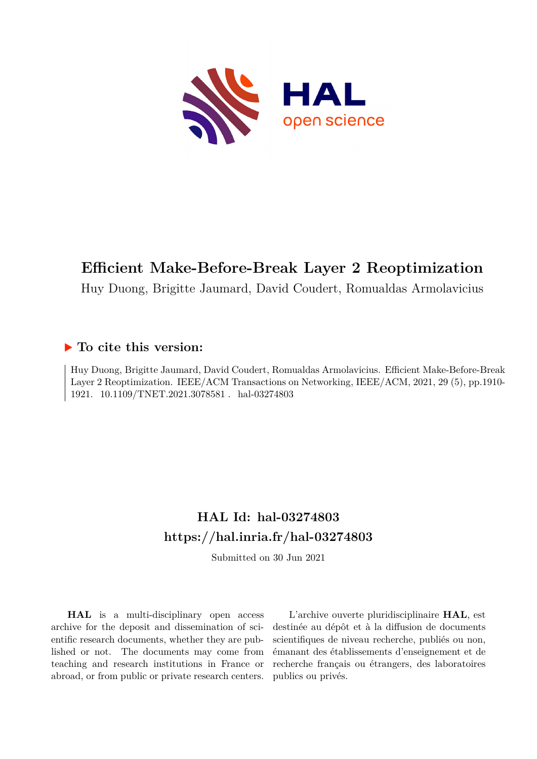

# **Efficient Make-Before-Break Layer 2 Reoptimization**

Huy Duong, Brigitte Jaumard, David Coudert, Romualdas Armolavicius

## **To cite this version:**

Huy Duong, Brigitte Jaumard, David Coudert, Romualdas Armolavicius. Efficient Make-Before-Break Layer 2 Reoptimization. IEEE/ACM Transactions on Networking, IEEE/ACM, 2021, 29 (5), pp.1910- 1921. 10.1109/TNET.2021.3078581. hal-03274803

# **HAL Id: hal-03274803 <https://hal.inria.fr/hal-03274803>**

Submitted on 30 Jun 2021

**HAL** is a multi-disciplinary open access archive for the deposit and dissemination of scientific research documents, whether they are published or not. The documents may come from teaching and research institutions in France or abroad, or from public or private research centers.

L'archive ouverte pluridisciplinaire **HAL**, est destinée au dépôt et à la diffusion de documents scientifiques de niveau recherche, publiés ou non, émanant des établissements d'enseignement et de recherche français ou étrangers, des laboratoires publics ou privés.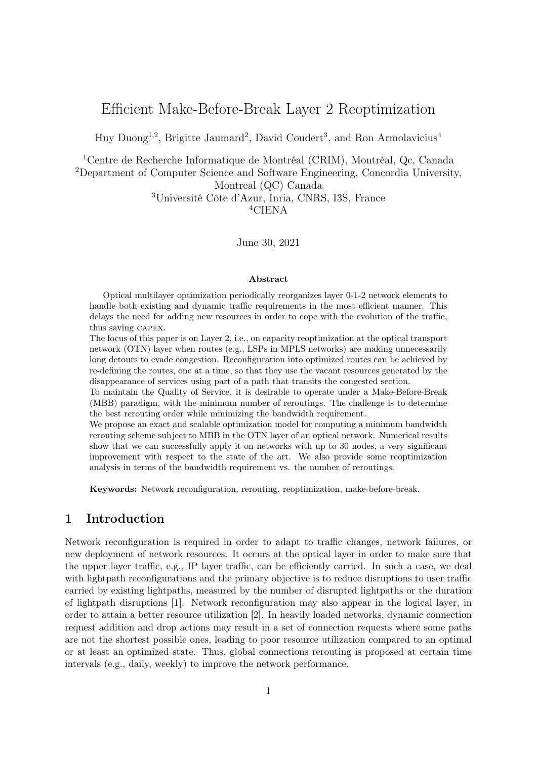## Efficient Make-Before-Break Layer 2 Reoptimization

Huy Duong<sup>1,2</sup>, Brigitte Jaumard<sup>2</sup>, David Coudert<sup>3</sup>, and Ron Armolavicius<sup>4</sup>

<sup>1</sup>Centre de Recherche Informatique de Montréal (CRIM), Montréal, Qc, Canada

<sup>2</sup>Department of Computer Science and Software Engineering, Concordia University,

Montreal (QC) Canada

<sup>3</sup>Université Côte d'Azur, Inria, CNRS, I3S, France <sup>4</sup>CIENA

June 30, 2021

#### Abstract

Optical multilayer optimization periodically reorganizes layer 0-1-2 network elements to handle both existing and dynamic traffic requirements in the most efficient manner. This delays the need for adding new resources in order to cope with the evolution of the traffic, thus saving capex.

The focus of this paper is on Layer 2, i.e., on capacity reoptimization at the optical transport network (OTN) layer when routes (e.g., LSPs in MPLS networks) are making unnecessarily long detours to evade congestion. Reconfiguration into optimized routes can be achieved by re-defining the routes, one at a time, so that they use the vacant resources generated by the disappearance of services using part of a path that transits the congested section.

To maintain the Quality of Service, it is desirable to operate under a Make-Before-Break (MBB) paradigm, with the minimum number of reroutings. The challenge is to determine the best rerouting order while minimizing the bandwidth requirement.

We propose an exact and scalable optimization model for computing a minimum bandwidth rerouting scheme subject to MBB in the OTN layer of an optical network. Numerical results show that we can successfully apply it on networks with up to 30 nodes, a very significant improvement with respect to the state of the art. We also provide some reoptimization analysis in terms of the bandwidth requirement vs. the number of reroutings.

Keywords: Network reconfiguration, rerouting, reoptimization, make-before-break.

## 1 Introduction

Network reconfiguration is required in order to adapt to traffic changes, network failures, or new deployment of network resources. It occurs at the optical layer in order to make sure that the upper layer traffic, e.g., IP layer traffic, can be efficiently carried. In such a case, we deal with lightpath reconfigurations and the primary objective is to reduce disruptions to user traffic carried by existing lightpaths, measured by the number of disrupted lightpaths or the duration of lightpath disruptions [1]. Network reconfiguration may also appear in the logical layer, in order to attain a better resource utilization [2]. In heavily loaded networks, dynamic connection request addition and drop actions may result in a set of connection requests where some paths are not the shortest possible ones, leading to poor resource utilization compared to an optimal or at least an optimized state. Thus, global connections rerouting is proposed at certain time intervals (e.g., daily, weekly) to improve the network performance.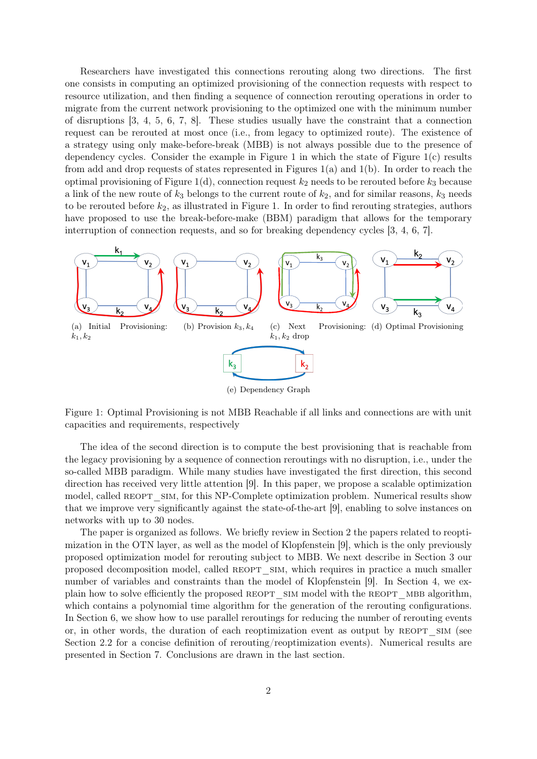Researchers have investigated this connections rerouting along two directions. The first one consists in computing an optimized provisioning of the connection requests with respect to resource utilization, and then finding a sequence of connection rerouting operations in order to migrate from the current network provisioning to the optimized one with the minimum number of disruptions [3, 4, 5, 6, 7, 8]. These studies usually have the constraint that a connection request can be rerouted at most once (i.e., from legacy to optimized route). The existence of a strategy using only make-before-break (MBB) is not always possible due to the presence of dependency cycles. Consider the example in Figure 1 in which the state of Figure  $1(c)$  results from add and drop requests of states represented in Figures  $1(a)$  and  $1(b)$ . In order to reach the optimal provisioning of Figure 1(d), connection request  $k_2$  needs to be rerouted before  $k_3$  because a link of the new route of  $k_3$  belongs to the current route of  $k_2$ , and for similar reasons,  $k_3$  needs to be rerouted before  $k_2$ , as illustrated in Figure 1. In order to find rerouting strategies, authors have proposed to use the break-before-make (BBM) paradigm that allows for the temporary interruption of connection requests, and so for breaking dependency cycles [3, 4, 6, 7].



Figure 1: Optimal Provisioning is not MBB Reachable if all links and connections are with unit capacities and requirements, respectively

The idea of the second direction is to compute the best provisioning that is reachable from the legacy provisioning by a sequence of connection reroutings with no disruption, i.e., under the so-called MBB paradigm. While many studies have investigated the first direction, this second direction has received very little attention [9]. In this paper, we propose a scalable optimization model, called REOPT SIM, for this NP-Complete optimization problem. Numerical results show that we improve very significantly against the state-of-the-art [9], enabling to solve instances on networks with up to 30 nodes.

The paper is organized as follows. We briefly review in Section 2 the papers related to reoptimization in the OTN layer, as well as the model of Klopfenstein [9], which is the only previously proposed optimization model for rerouting subject to MBB. We next describe in Section 3 our proposed decomposition model, called REOPT SIM, which requires in practice a much smaller number of variables and constraints than the model of Klopfenstein [9]. In Section 4, we explain how to solve efficiently the proposed REOPT SIM model with the REOPT MBB algorithm, which contains a polynomial time algorithm for the generation of the rerouting configurations. In Section 6, we show how to use parallel reroutings for reducing the number of rerouting events or, in other words, the duration of each reoptimization event as output by REOPT SIM (see Section 2.2 for a concise definition of rerouting/reoptimization events). Numerical results are presented in Section 7. Conclusions are drawn in the last section.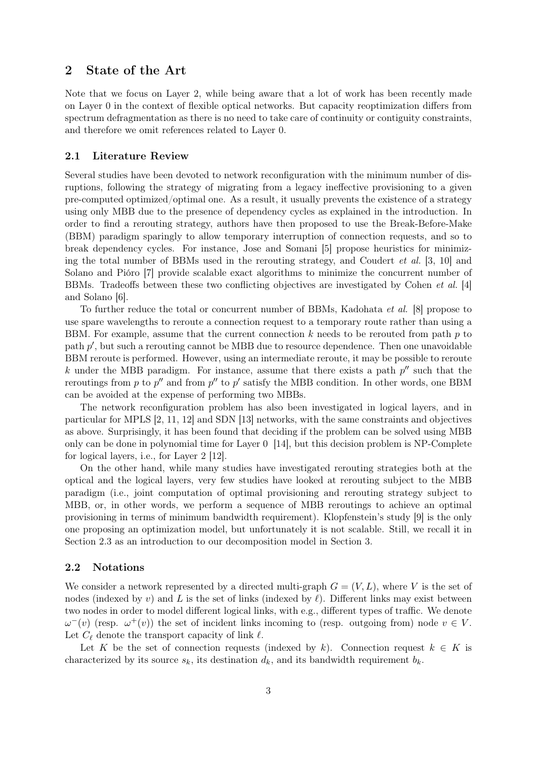### 2 State of the Art

Note that we focus on Layer 2, while being aware that a lot of work has been recently made on Layer 0 in the context of flexible optical networks. But capacity reoptimization differs from spectrum defragmentation as there is no need to take care of continuity or contiguity constraints, and therefore we omit references related to Layer 0.

#### 2.1 Literature Review

Several studies have been devoted to network reconfiguration with the minimum number of disruptions, following the strategy of migrating from a legacy ineffective provisioning to a given pre-computed optimized/optimal one. As a result, it usually prevents the existence of a strategy using only MBB due to the presence of dependency cycles as explained in the introduction. In order to find a rerouting strategy, authors have then proposed to use the Break-Before-Make (BBM) paradigm sparingly to allow temporary interruption of connection requests, and so to break dependency cycles. For instance, Jose and Somani [5] propose heuristics for minimizing the total number of BBMs used in the rerouting strategy, and Coudert et al. [3, 10] and Solano and Pióro [7] provide scalable exact algorithms to minimize the concurrent number of BBMs. Tradeoffs between these two conflicting objectives are investigated by Cohen et al. [4] and Solano [6].

To further reduce the total or concurrent number of BBMs, Kadohata et al. [8] propose to use spare wavelengths to reroute a connection request to a temporary route rather than using a BBM. For example, assume that the current connection  $k$  needs to be rerouted from path  $p$  to path  $p'$ , but such a rerouting cannot be MBB due to resource dependence. Then one unavoidable BBM reroute is performed. However, using an intermediate reroute, it may be possible to reroute k under the MBB paradigm. For instance, assume that there exists a path  $p''$  such that the reroutings from p to p'' and from  $p''$  to p' satisfy the MBB condition. In other words, one BBM can be avoided at the expense of performing two MBBs.

The network reconfiguration problem has also been investigated in logical layers, and in particular for MPLS [2, 11, 12] and SDN [13] networks, with the same constraints and objectives as above. Surprisingly, it has been found that deciding if the problem can be solved using MBB only can be done in polynomial time for Layer 0 [14], but this decision problem is NP-Complete for logical layers, i.e., for Layer 2 [12].

On the other hand, while many studies have investigated rerouting strategies both at the optical and the logical layers, very few studies have looked at rerouting subject to the MBB paradigm (i.e., joint computation of optimal provisioning and rerouting strategy subject to MBB, or, in other words, we perform a sequence of MBB reroutings to achieve an optimal provisioning in terms of minimum bandwidth requirement). Klopfenstein's study [9] is the only one proposing an optimization model, but unfortunately it is not scalable. Still, we recall it in Section 2.3 as an introduction to our decomposition model in Section 3.

#### 2.2 Notations

We consider a network represented by a directed multi-graph  $G = (V, L)$ , where V is the set of nodes (indexed by v) and L is the set of links (indexed by  $\ell$ ). Different links may exist between two nodes in order to model different logical links, with e.g., different types of traffic. We denote  $\omega^{-}(v)$  (resp.  $\omega^{+}(v)$ ) the set of incident links incoming to (resp. outgoing from) node  $v \in V$ . Let  $C_{\ell}$  denote the transport capacity of link  $\ell$ .

Let K be the set of connection requests (indexed by k). Connection request  $k \in K$  is characterized by its source  $s_k$ , its destination  $d_k$ , and its bandwidth requirement  $b_k$ .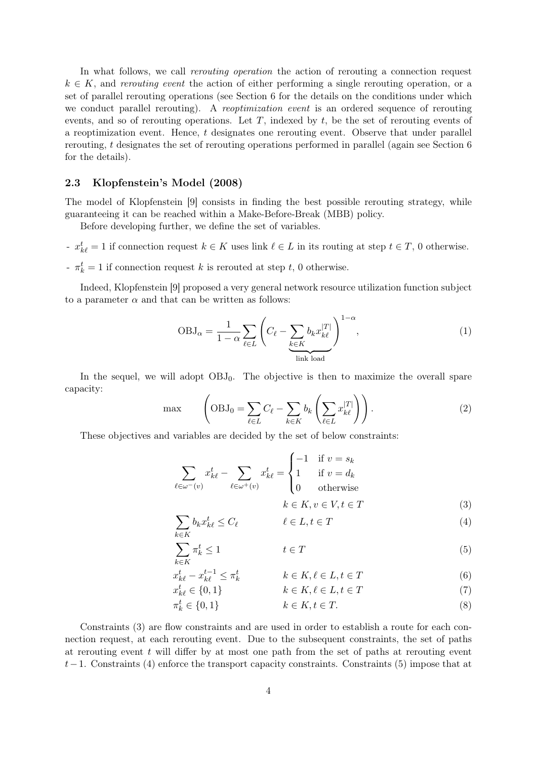In what follows, we call *rerouting operation* the action of rerouting a connection request  $k \in K$ , and rerouting event the action of either performing a single rerouting operation, or a set of parallel rerouting operations (see Section 6 for the details on the conditions under which we conduct parallel rerouting). A reoptimization event is an ordered sequence of rerouting events, and so of rerouting operations. Let  $T$ , indexed by  $t$ , be the set of rerouting events of a reoptimization event. Hence,  $t$  designates one rerouting event. Observe that under parallel rerouting, t designates the set of rerouting operations performed in parallel (again see Section 6 for the details).

#### 2.3 Klopfenstein's Model (2008)

The model of Klopfenstein [9] consists in finding the best possible rerouting strategy, while guaranteeing it can be reached within a Make-Before-Break (MBB) policy.

Before developing further, we define the set of variables.

- $x_{k\ell}^t = 1$  if connection request  $k \in K$  uses link  $\ell \in L$  in its routing at step  $t \in T$ , 0 otherwise.
- $\tau_k^t = 1$  if connection request k is rerouted at step t, 0 otherwise.

Indeed, Klopfenstein [9] proposed a very general network resource utilization function subject to a parameter  $\alpha$  and that can be written as follows:

$$
OBJ_{\alpha} = \frac{1}{1 - \alpha} \sum_{\ell \in L} \left( C_{\ell} - \sum_{\substack{k \in K \\ \text{link load}}} b_k x_{k\ell}^{|T|} \right)^{1 - \alpha},\tag{1}
$$

In the sequel, we will adopt  $OBJ_0$ . The objective is then to maximize the overall spare capacity:

$$
\max \qquad \left(\text{OBJ}_0 = \sum_{\ell \in L} C_{\ell} - \sum_{k \in K} b_k \left( \sum_{\ell \in L} x_{k\ell}^{|T|} \right) \right). \tag{2}
$$

These objectives and variables are decided by the set of below constraints:

 $x_k^t$ 

$$
\sum_{\ell \in \omega^{-}(v)} x_{k\ell}^{t} - \sum_{\ell \in \omega^{+}(v)} x_{k\ell}^{t} = \begin{cases} -1 & \text{if } v = s_{k} \\ 1 & \text{if } v = d_{k} \\ 0 & \text{otherwise} \end{cases}
$$

$$
k \in K, v \in V, t \in T \tag{3}
$$

$$
\sum_{k \in K} b_k x_{k\ell}^t \le C_\ell \qquad \qquad \ell \in L, t \in T \tag{4}
$$

$$
\sum_{k \in K} \pi_k^t \le 1 \qquad \qquad t \in T \tag{5}
$$

$$
\begin{aligned}\n\frac{t}{k\ell} - x_{k\ell}^{t-1} &\le \pi_k^t & k \in K, \ell \in L, t \in T\n\end{aligned}\n\tag{6}
$$

$$
x_{k\ell}^t \in \{0, 1\} \qquad k \in K, \ell \in L, t \in T \tag{7}
$$

$$
\pi_k^t \in \{0, 1\} \qquad k \in K, t \in T. \tag{8}
$$

Constraints (3) are flow constraints and are used in order to establish a route for each connection request, at each rerouting event. Due to the subsequent constraints, the set of paths at rerouting event  $t$  will differ by at most one path from the set of paths at rerouting event  $t-1$ . Constraints (4) enforce the transport capacity constraints. Constraints (5) impose that at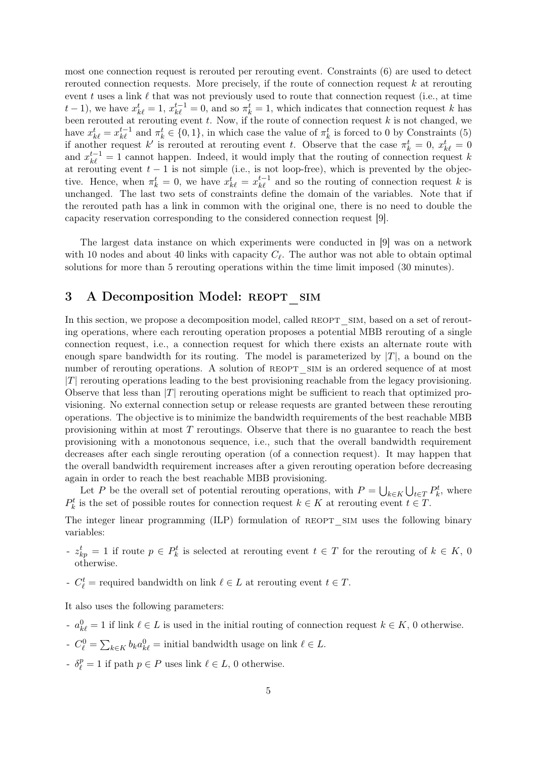most one connection request is rerouted per rerouting event. Constraints (6) are used to detect rerouted connection requests. More precisely, if the route of connection request  $k$  at rerouting event t uses a link  $\ell$  that was not previously used to route that connection request (i.e., at time  $t-1$ ), we have  $x_{k\ell}^t = 1$ ,  $x_{k\ell}^{t-1} = 0$ , and so  $\pi_k^t = 1$ , which indicates that connection request k has been rerouted at rerouting event t. Now, if the route of connection request k is not changed, we have  $x_{k\ell}^t = x_{k\ell}^{t-1}$  and  $\pi_k^t \in \{0, 1\}$ , in which case the value of  $\pi_k^t$  is forced to 0 by Constraints (5) if another request k' is rerouted at rerouting event t. Observe that the case  $\pi_k^t = 0$ ,  $x_{k\ell}^t = 0$ and  $x_{k\ell}^{t-1} = 1$  cannot happen. Indeed, it would imply that the routing of connection request k at rerouting event  $t - 1$  is not simple (i.e., is not loop-free), which is prevented by the objective. Hence, when  $\pi_k^t = 0$ , we have  $x_{k\ell}^t = x_{k\ell}^{t-1}$  and so the routing of connection request k is unchanged. The last two sets of constraints define the domain of the variables. Note that if the rerouted path has a link in common with the original one, there is no need to double the capacity reservation corresponding to the considered connection request [9].

The largest data instance on which experiments were conducted in [9] was on a network with 10 nodes and about 40 links with capacity  $C_{\ell}$ . The author was not able to obtain optimal solutions for more than 5 rerouting operations within the time limit imposed (30 minutes).

## 3 A Decomposition Model: REOPT SIM

In this section, we propose a decomposition model, called REOPT SIM, based on a set of rerouting operations, where each rerouting operation proposes a potential MBB rerouting of a single connection request, i.e., a connection request for which there exists an alternate route with enough spare bandwidth for its routing. The model is parameterized by  $|T|$ , a bound on the number of rerouting operations. A solution of REOPT SIM is an ordered sequence of at most  $|T|$  rerouting operations leading to the best provisioning reachable from the legacy provisioning. Observe that less than  $|T|$  rerouting operations might be sufficient to reach that optimized provisioning. No external connection setup or release requests are granted between these rerouting operations. The objective is to minimize the bandwidth requirements of the best reachable MBB provisioning within at most  $T$  reroutings. Observe that there is no guarantee to reach the best provisioning with a monotonous sequence, i.e., such that the overall bandwidth requirement decreases after each single rerouting operation (of a connection request). It may happen that the overall bandwidth requirement increases after a given rerouting operation before decreasing again in order to reach the best reachable MBB provisioning.

Let P be the overall set of potential rerouting operations, with  $P = \bigcup_{k \in K} \bigcup_{t \in T} P_k^t$ , where  $P_k^t$  is the set of possible routes for connection request  $k \in K$  at rerouting event  $t \in T$ .

The integer linear programming (ILP) formulation of REOPT SIM uses the following binary variables:

- $z_{kp}^t = 1$  if route  $p \in P_k^t$  is selected at rerouting event  $t \in T$  for the rerouting of  $k \in K$ , 0 otherwise.
- $C_{\ell}^{t}$  = required bandwidth on link  $\ell \in L$  at rerouting event  $t \in T$ .

It also uses the following parameters:

- $a_{k\ell}^0 = 1$  if link  $\ell \in L$  is used in the initial routing of connection request  $k \in K$ , 0 otherwise.
- $C_{\ell}^0 = \sum_{k \in K} b_k a_{k\ell}^0 =$  initial bandwidth usage on link  $\ell \in L$ .
- $\delta_{\ell}^{p} = 1$  if path  $p \in P$  uses link  $\ell \in L$ , 0 otherwise.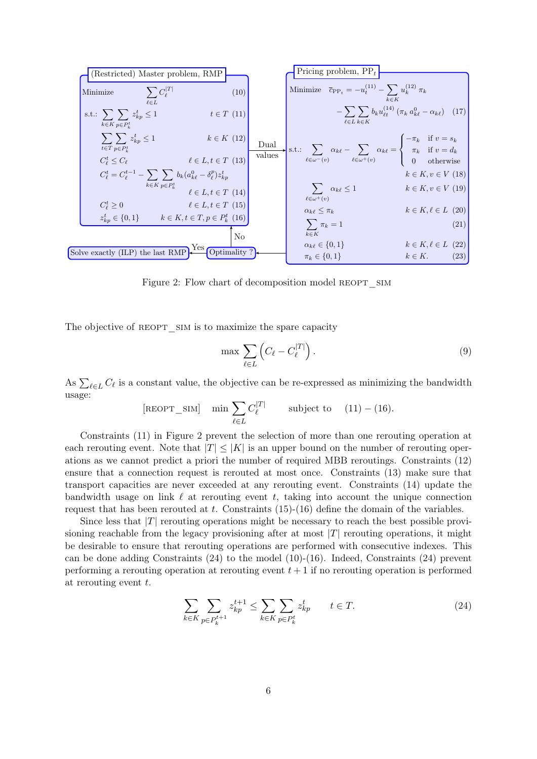|                                                                                                                |                            |        | Pricing problem, $PP_t$                                                                                                                                                                                           |                                                                                                                      |
|----------------------------------------------------------------------------------------------------------------|----------------------------|--------|-------------------------------------------------------------------------------------------------------------------------------------------------------------------------------------------------------------------|----------------------------------------------------------------------------------------------------------------------|
| (Restricted) Master problem, RMP                                                                               |                            |        |                                                                                                                                                                                                                   |                                                                                                                      |
| $\sum C_{\ell}^{ T }$<br>Minimize                                                                              | (10)                       |        | Minimize $\bar{c}_{\text{PP}_{t}} = -u_t^{(11)} - \sum u_k^{(12)} \pi_k$                                                                                                                                          |                                                                                                                      |
| $l \in L$                                                                                                      |                            |        |                                                                                                                                                                                                                   | $k \in K$                                                                                                            |
| s.t.: $\sum_{i} \sum_{k} z_{kp}^t \leq 1$<br>$k \in K$ $p \in P_k^t$                                           | $t \in T$ (11)             |        | $\ell \in L \ k \in K$                                                                                                                                                                                            | $\left[-\sum_{k} \sum_{k} b_{k} u_{\ell t}^{(14)}\left(\pi_{k} a_{k \ell}^{0} - \alpha_{k \ell}\right) \right]$ (17) |
| $\sum_{i} \sum_{i} z_{kp}^{t} \leq 1$                                                                          | $k \in K$ (12)             | Dual   | s.t.: $\sum_{\ell \in \omega^{-}(v)} \alpha_{k\ell} - \sum_{\ell \in \omega^{+}(v)} \alpha_{k\ell} = \begin{cases} -\pi_k & \text{if } v = s_k \\ \pi_k & \text{if } v = d_k \\ 0 & \text{otherwise} \end{cases}$ |                                                                                                                      |
| $t \in T$ $p \in P_L^t$                                                                                        |                            | values |                                                                                                                                                                                                                   |                                                                                                                      |
| $C_{\ell}^t \leq C_{\ell}$                                                                                     | $\ell \in L, t \in T$ (13) |        |                                                                                                                                                                                                                   |                                                                                                                      |
| $C_{\ell}^{t} = C_{\ell}^{t-1} - \sum_{\ell} \sum_{\ell} b_{k} (a_{k\ell}^{0} - \delta_{\ell}^{p}) z_{kp}^{t}$ |                            |        |                                                                                                                                                                                                                   | $k \in K, v \in V$ (18)                                                                                              |
| $k \in K$ $p \in P_k^t$                                                                                        | $\ell \in L, t \in T$ (14) |        | $\sum_{k\in\mathbb{Z}}\alpha_{k\ell}\leq 1$                                                                                                                                                                       | $k \in K, v \in V$ (19)                                                                                              |
|                                                                                                                |                            |        | $\ell \in \omega^+(v)$                                                                                                                                                                                            |                                                                                                                      |
| $C_{\ell}^t \geq 0$                                                                                            | $\ell \in L, t \in T$ (15) |        | $\alpha_{k\ell}\leq \pi_k$                                                                                                                                                                                        | $k \in K, \ell \in L$ (20)                                                                                           |
| $z_{kp}^t \in \{0,1\}$ $k \in K, t \in T, p \in P_k^t$ (16)                                                    |                            |        | $\sum \pi_k = 1$                                                                                                                                                                                                  | (21)                                                                                                                 |
|                                                                                                                | N <sub>o</sub>             |        | $k \in K$                                                                                                                                                                                                         |                                                                                                                      |
|                                                                                                                | Yes                        |        | $\alpha_{k\ell} \in \{0,1\}$                                                                                                                                                                                      | $k \in K, \ell \in L$ (22)                                                                                           |
| Solve exactly $(\text{ILP})$ the last RMP                                                                      | Optimality?                |        | $\pi_k \in \{0, 1\}$                                                                                                                                                                                              | (23)<br>$k \in K$ .                                                                                                  |
|                                                                                                                |                            |        |                                                                                                                                                                                                                   |                                                                                                                      |

Figure 2: Flow chart of decomposition model REOPT SIM

The objective of REOPT SIM is to maximize the spare capacity

$$
\max \sum_{\ell \in L} \left( C_{\ell} - C_{\ell}^{|T|} \right). \tag{9}
$$

As  $\sum_{\ell \in L} C_{\ell}$  is a constant value, the objective can be re-expressed as minimizing the bandwidth usage:

[REOPT\_SIM] min 
$$
\sum_{\ell \in L} C_{\ell}^{|T|}
$$
 subject to (11) – (16).

Constraints (11) in Figure 2 prevent the selection of more than one rerouting operation at each rerouting event. Note that  $|T| \leq |K|$  is an upper bound on the number of rerouting operations as we cannot predict a priori the number of required MBB reroutings. Constraints (12) ensure that a connection request is rerouted at most once. Constraints (13) make sure that transport capacities are never exceeded at any rerouting event. Constraints (14) update the bandwidth usage on link  $\ell$  at rerouting event t, taking into account the unique connection request that has been rerouted at t. Constraints  $(15)-(16)$  define the domain of the variables.

Since less that  $|T|$  rerouting operations might be necessary to reach the best possible provisioning reachable from the legacy provisioning after at most  $|T|$  rerouting operations, it might be desirable to ensure that rerouting operations are performed with consecutive indexes. This can be done adding Constraints (24) to the model (10)-(16). Indeed, Constraints (24) prevent performing a rerouting operation at rerouting event  $t + 1$  if no rerouting operation is performed at rerouting event  $t$ .

$$
\sum_{k \in K} \sum_{p \in P_k^{t+1}} z_{kp}^{t+1} \le \sum_{k \in K} \sum_{p \in P_k^t} z_{kp}^t \qquad t \in T. \tag{24}
$$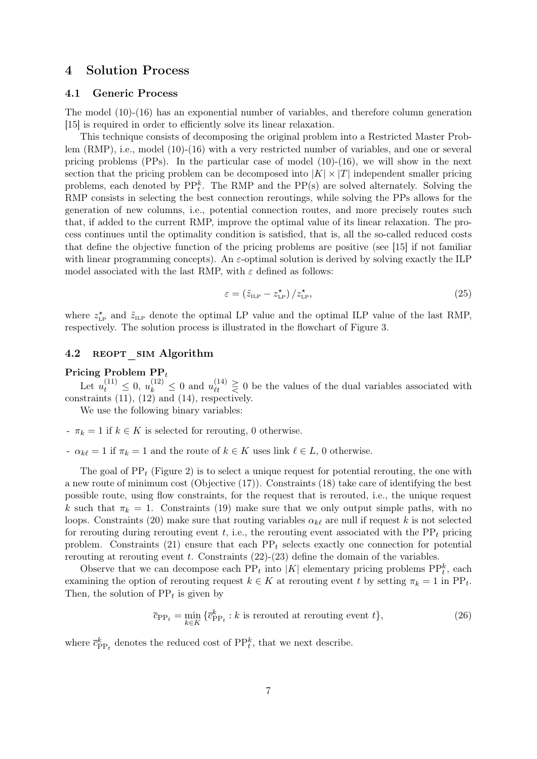### 4 Solution Process

#### 4.1 Generic Process

The model (10)-(16) has an exponential number of variables, and therefore column generation [15] is required in order to efficiently solve its linear relaxation.

This technique consists of decomposing the original problem into a Restricted Master Problem (RMP), i.e., model (10)-(16) with a very restricted number of variables, and one or several pricing problems  $(PPs)$ . In the particular case of model  $(10)-(16)$ , we will show in the next section that the pricing problem can be decomposed into  $|K| \times |T|$  independent smaller pricing problems, each denoted by  $\text{PP}_{t}^{k}$ . The RMP and the PP(s) are solved alternately. Solving the RMP consists in selecting the best connection reroutings, while solving the PPs allows for the generation of new columns, i.e., potential connection routes, and more precisely routes such that, if added to the current RMP, improve the optimal value of its linear relaxation. The process continues until the optimality condition is satisfied, that is, all the so-called reduced costs that define the objective function of the pricing problems are positive (see [15] if not familiar with linear programming concepts). An  $\varepsilon$ -optimal solution is derived by solving exactly the ILP model associated with the last RMP, with  $\varepsilon$  defined as follows:

$$
\varepsilon = \left(\tilde{z}_{\text{LP}} - z_{\text{LP}}^{\star}\right) / z_{\text{LP}}^{\star},\tag{25}
$$

where  $z_{\text{LP}}^{\star}$  and  $\tilde{z}_{\text{ILP}}$  denote the optimal LP value and the optimal ILP value of the last RMP, respectively. The solution process is illustrated in the flowchart of Figure 3.

#### 4.2 REOPT SIM Algorithm

#### Pricing Problem  $PP_t$

Let  $u_t^{(11)} \leq 0$ ,  $u_k^{(12)} \leq 0$  and  $u_{\ell t}^{(14)} \geq 0$  be the values of the dual variables associated with constraints (11), (12) and (14), respectively.

We use the following binary variables:

- $-\pi_k = 1$  if  $k \in K$  is selected for rerouting, 0 otherwise.
- $\alpha_{k\ell} = 1$  if  $\pi_k = 1$  and the route of  $k \in K$  uses link  $\ell \in L$ , 0 otherwise.

The goal of  $PP_t$  (Figure 2) is to select a unique request for potential rerouting, the one with a new route of minimum cost (Objective (17)). Constraints (18) take care of identifying the best possible route, using flow constraints, for the request that is rerouted, i.e., the unique request k such that  $\pi_k = 1$ . Constraints (19) make sure that we only output simple paths, with no loops. Constraints (20) make sure that routing variables  $\alpha_{k\ell}$  are null if request k is not selected for rerouting during rerouting event t, i.e., the rerouting event associated with the  $PP<sub>t</sub>$  pricing problem. Constraints (21) ensure that each  $PP_t$  selects exactly one connection for potential rerouting at rerouting event t. Constraints  $(22)-(23)$  define the domain of the variables.

Observe that we can decompose each  $PP_t$  into  $|K|$  elementary pricing problems  $PP_t^k$ , each examining the option of rerouting request  $k \in K$  at rerouting event t by setting  $\pi_k = 1$  in PP<sub>t</sub>. Then, the solution of  $PP_t$  is given by

$$
\overline{c}_{\text{PP}_{t}} = \min_{k \in K} \{ \overline{c}_{\text{PP}_{t}}^{k} : k \text{ is revuted at rerouting event } t \},\tag{26}
$$

where  $\bar{c}_{\text{PP}_t}^k$  denotes the reduced cost of  $\text{PP}_t^k$ , that we next describe.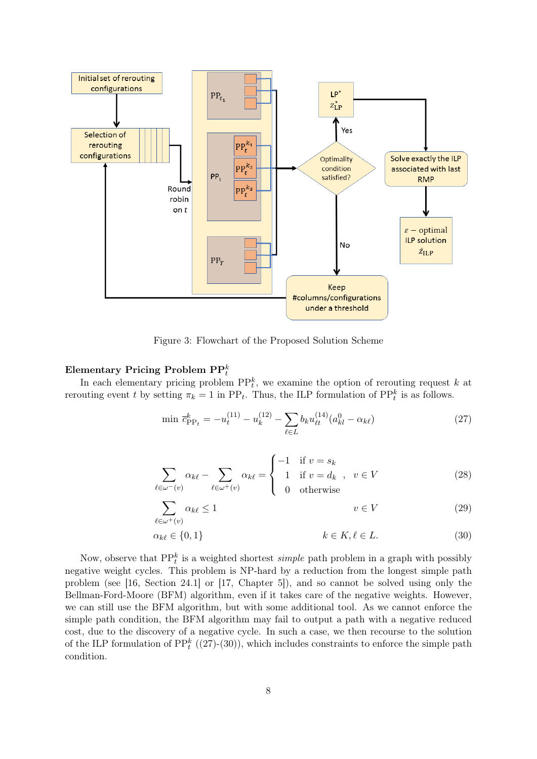

Figure 3: Flowchart of the Proposed Solution Scheme

## Elementary Pricing Problem  $\mathrm{PP}^k_t$

In each elementary pricing problem  $\text{PP}_{t}^{k}$ , we examine the option of rerouting request k at rerouting event t by setting  $\pi_k = 1$  in PP<sub>t</sub>. Thus, the ILP formulation of PP<sub>t</sub><sup>k</sup> is as follows.

$$
\min \bar{c}_{\text{PP}_t}^k = -u_t^{(11)} - u_k^{(12)} - \sum_{\ell \in L} b_k u_{\ell t}^{(14)} (a_{kl}^0 - \alpha_{k\ell}) \tag{27}
$$

$$
\sum_{\ell \in \omega^{-}(v)} \alpha_{k\ell} - \sum_{\ell \in \omega^{+}(v)} \alpha_{k\ell} = \begin{cases} -1 & \text{if } v = s_k \\ 1 & \text{if } v = d_k \\ 0 & \text{otherwise} \end{cases}, v \in V \tag{28}
$$

$$
\sum_{\ell \in \omega^+(v)} \alpha_{k\ell} \le 1 \qquad \qquad v \in V \tag{29}
$$

$$
\alpha_{k\ell} \in \{0, 1\} \qquad k \in K, \ell \in L. \tag{30}
$$

Now, observe that  $\text{PP}_{t}^{k}$  is a weighted shortest *simple* path problem in a graph with possibly negative weight cycles. This problem is NP-hard by a reduction from the longest simple path problem (see [16, Section 24.1] or [17, Chapter 5]), and so cannot be solved using only the Bellman-Ford-Moore (BFM) algorithm, even if it takes care of the negative weights. However, we can still use the BFM algorithm, but with some additional tool. As we cannot enforce the simple path condition, the BFM algorithm may fail to output a path with a negative reduced cost, due to the discovery of a negative cycle. In such a case, we then recourse to the solution of the ILP formulation of  $\text{PP}_{t}^{k}((27)-(30))$ , which includes constraints to enforce the simple path condition.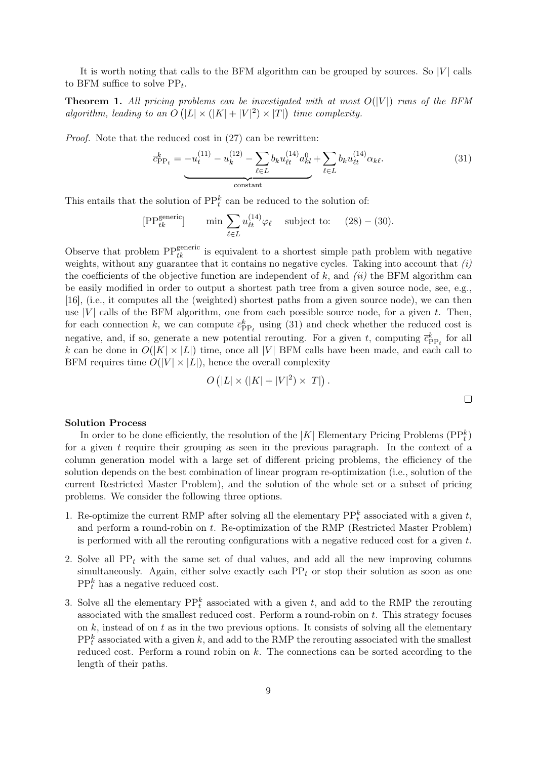It is worth noting that calls to the BFM algorithm can be grouped by sources. So  $|V|$  calls to BFM suffice to solve  $PP_t$ .

**Theorem 1.** All pricing problems can be investigated with at most  $O(|V|)$  runs of the BFM algorithm, leading to an  $O(|L| \times (|K|+|V|^2) \times |T|)$  time complexity.

Proof. Note that the reduced cost in (27) can be rewritten:

$$
\overline{c}_{\text{PP}_t}^k = -u_t^{(11)} - u_k^{(12)} - \sum_{\ell \in L} b_k u_{\ell t}^{(14)} a_{kl}^0 + \sum_{\ell \in L} b_k u_{\ell t}^{(14)} \alpha_{k \ell}.
$$
\n(31)

This entails that the solution of  $\text{PP}_t^k$  can be reduced to the solution of:

[PP<sub>tk</sub><sup>generic</sup>] min 
$$
\sum_{\ell \in L} u_{\ell t}^{(14)} \varphi_{\ell}
$$
 subject to: (28) – (30).

Observe that problem  $PP_{tk}^{\text{generic}}$  is equivalent to a shortest simple path problem with negative weights, without any guarantee that it contains no negative cycles. Taking into account that  $(i)$ the coefficients of the objective function are independent of  $k$ , and *(ii)* the BFM algorithm can be easily modified in order to output a shortest path tree from a given source node, see, e.g., [16], (i.e., it computes all the (weighted) shortest paths from a given source node), we can then use |V| calls of the BFM algorithm, one from each possible source node, for a given t. Then, for each connection k, we can compute  $\bar{c}_{\text{PP}_t}^k$  using (31) and check whether the reduced cost is negative, and, if so, generate a new potential rerouting. For a given t, computing  $\bar{c}_{\text{PP}_t}^k$  for all k can be done in  $O(|K| \times |L|)$  time, once all |V| BFM calls have been made, and each call to BFM requires time  $O(|V| \times |L|)$ , hence the overall complexity

$$
O(|L| \times (|K| + |V|^2) \times |T|).
$$

#### Solution Process

In order to be done efficiently, the resolution of the  $|K|$  Elementary Pricing Problems  $(\text{PP}_t^k)$ for a given t require their grouping as seen in the previous paragraph. In the context of a column generation model with a large set of different pricing problems, the efficiency of the solution depends on the best combination of linear program re-optimization (i.e., solution of the current Restricted Master Problem), and the solution of the whole set or a subset of pricing problems. We consider the following three options.

- 1. Re-optimize the current RMP after solving all the elementary  $\text{PP}_t^k$  associated with a given t, and perform a round-robin on t. Re-optimization of the RMP (Restricted Master Problem) is performed with all the rerouting configurations with a negative reduced cost for a given  $t$ .
- 2. Solve all  $PP_t$  with the same set of dual values, and add all the new improving columns simultaneously. Again, either solve exactly each  $PP_t$  or stop their solution as soon as one  $PP_t^k$  has a negative reduced cost.
- 3. Solve all the elementary  $\text{PP}_{t}^{k}$  associated with a given t, and add to the RMP the rerouting associated with the smallest reduced cost. Perform a round-robin on  $t$ . This strategy focuses on  $k$ , instead of on  $t$  as in the two previous options. It consists of solving all the elementary  $PP_t^k$  associated with a given k, and add to the RMP the rerouting associated with the smallest reduced cost. Perform a round robin on k. The connections can be sorted according to the length of their paths.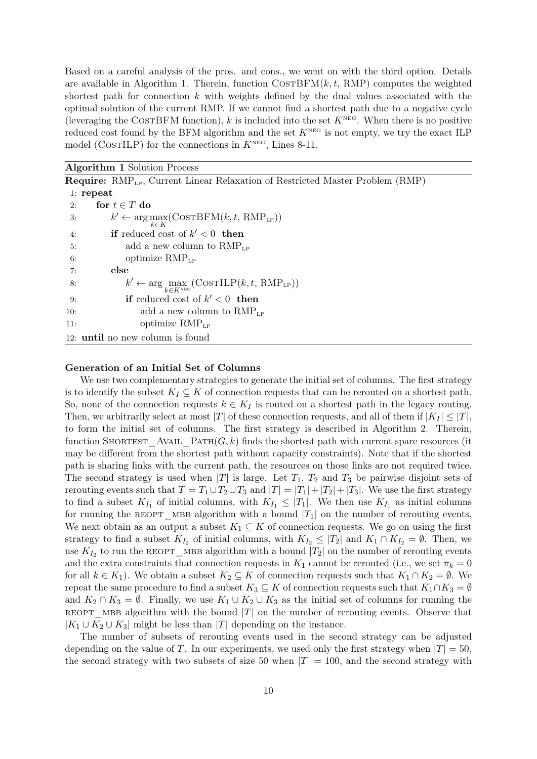Based on a careful analysis of the pros. and cons., we went on with the third option. Details are available in Algorithm 1. Therein, function  $\text{Co}_\text{STBFM}(k, t, \text{RMP})$  computes the weighted shortest path for connection  $k$  with weights defined by the dual values associated with the optimal solution of the current RMP. If we cannot find a shortest path due to a negative cycle (leveraging the COSTBFM function), k is included into the set  $K<sup>NEG</sup>$ . When there is no positive reduced cost found by the BFM algorithm and the set  $K<sup>NEG</sup>$  is not empty, we try the exact ILP model (COSTILP) for the connections in  $K<sup>NEG</sup>$ , Lines 8-11.

Algorithm 1 Solution Process

|     | <b>Require:</b> $\text{RMP}_{\text{LP}}$ , Current Linear Relaxation of Restricted Master Problem (RMP) |
|-----|---------------------------------------------------------------------------------------------------------|
|     | $1:$ repeat                                                                                             |
| 2:  | for $t \in T$ do                                                                                        |
| 3:  | $k' \leftarrow \arg\max_{k \in K}(\textsc{CostBFM}(k, t, \textsc{RMP}_{\textsc{lp}}))$                  |
| 4:  | if reduced cost of $k' < 0$ then                                                                        |
| 5:  | add a new column to $RMP_{LP}$                                                                          |
| 6:  | optimize $RMP_{LP}$                                                                                     |
| 7:  | else                                                                                                    |
| 8:  | $k' \leftarrow \arg\max_{k \in K^\texttt{NEG}}(\texttt{COSTILP}(k, t, \texttt{RMP}_{\texttt{LP}}))$     |
| 9:  | <b>if</b> reduced cost of $k' < 0$ then                                                                 |
| 10: | add a new column to $RMP_{LP}$                                                                          |
| 11: | optimize $RMP_{LP}$                                                                                     |
|     | 12: <b>until</b> no new column is found                                                                 |
|     |                                                                                                         |

#### Generation of an Initial Set of Columns

We use two complementary strategies to generate the initial set of columns. The first strategy is to identify the subset  $K_I \subseteq K$  of connection requests that can be rerouted on a shortest path. So, none of the connection requests  $k \in K_I$  is routed on a shortest path in the legacy routing. Then, we arbitrarily select at most |T| of these connection requests, and all of them if  $|K_I| \leq |T|$ , to form the initial set of columns. The first strategy is described in Algorithm 2. Therein, function SHORTEST AVAIL PATH $(G, k)$  finds the shortest path with current spare resources (it may be different from the shortest path without capacity constraints). Note that if the shortest path is sharing links with the current path, the resources on those links are not required twice. The second strategy is used when  $|T|$  is large. Let  $T_1$ ,  $T_2$  and  $T_3$  be pairwise disjoint sets of rerouting events such that  $T = T_1 \cup T_2 \cup T_3$  and  $|T| = |T_1| + |T_2| + |T_3|$ . We use the first strategy to find a subset  $K_{I_1}$  of initial columns, with  $K_{I_1} \leq |T_1|$ . We then use  $K_{I_1}$  as initial columns for running the REOPT MBB algorithm with a bound  $|T_1|$  on the number of rerouting events. We next obtain as an output a subset  $K_1 \subseteq K$  of connection requests. We go on using the first strategy to find a subset  $K_{I_2}$  of initial columns, with  $K_{I_2} \leq |T_2|$  and  $K_1 \cap K_{I_2} = \emptyset$ . Then, we use  $K_{I_2}$  to run the REOPT\_MBB algorithm with a bound  $|T_2|$  on the number of rerouting events and the extra constraints that connection requests in  $K_1$  cannot be rerouted (i.e., we set  $\pi_k = 0$ for all  $k \in K_1$ ). We obtain a subset  $K_2 \subseteq K$  of connection requests such that  $K_1 \cap K_2 = \emptyset$ . We repeat the same procedure to find a subset  $K_3 \subseteq K$  of connection requests such that  $K_1 \cap K_3 = \emptyset$ and  $K_2 \cap K_3 = \emptyset$ . Finally, we use  $K_1 \cup K_2 \cup K_3$  as the initial set of columns for running the REOPT\_MBB algorithm with the bound  $|T|$  on the number of rerouting events. Observe that  $|K_1 \cup K_2 \cup K_3|$  might be less than  $|T|$  depending on the instance.

The number of subsets of rerouting events used in the second strategy can be adjusted depending on the value of T. In our experiments, we used only the first strategy when  $|T| = 50$ , the second strategy with two subsets of size 50 when  $|T| = 100$ , and the second strategy with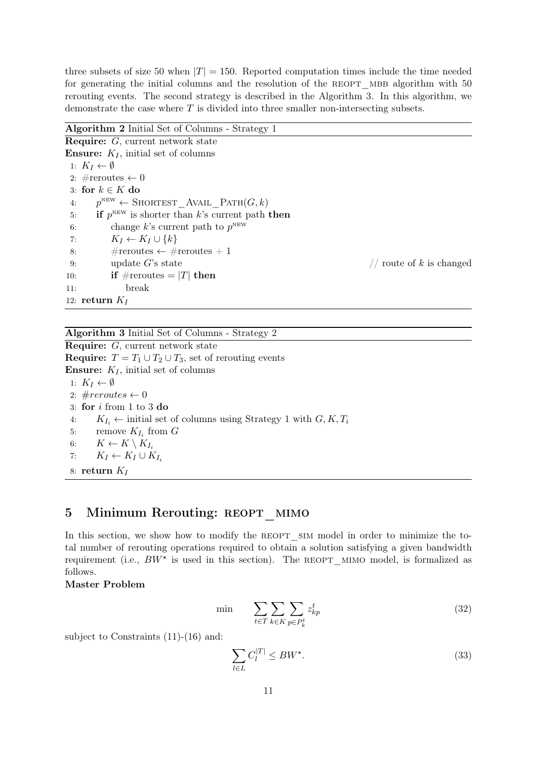three subsets of size 50 when  $|T| = 150$ . Reported computation times include the time needed for generating the initial columns and the resolution of the REOPT MBB algorithm with 50 rerouting events. The second strategy is described in the Algorithm 3. In this algorithm, we demonstrate the case where T is divided into three smaller non-intersecting subsets.

Algorithm 2 Initial Set of Columns - Strategy 1

Require: G, current network state **Ensure:**  $K_I$ , initial set of columns 1:  $K_I \leftarrow \emptyset$ 2: #reroutes  $\leftarrow 0$ 3: for  $k \in K$  do 4:  $p^{\text{NEW}} \leftarrow \text{SDARTEST\_AVAIL\_PATH}(G, k)$ 5: if  $p^{\text{new}}$  is shorter than k's current path then 6: change k's current path to  $p^{\text{new}}$ 7:  $K_I \leftarrow K_I \cup \{k\}$ 8:  $\#$  reroutes  $\leftarrow$  # reroutes + 1 9: update  $G$ 's state  $\binom{9}{1}$  state  $\binom{1}{1}$  route of k is changed 10: if  $\#$ reroutes = |T| then 11: break 12: return  $K_I$ 

Algorithm 3 Initial Set of Columns - Strategy 2

Require: G, current network state **Require:**  $T = T_1 \cup T_2 \cup T_3$ , set of rerouting events **Ensure:**  $K_I$ , initial set of columns 1:  $K_I \leftarrow \emptyset$ 2:  $\#re routes \leftarrow 0$ 3: for i from 1 to 3 do 4:  $K_{I_i} \leftarrow$  initial set of columns using Strategy 1 with  $G, K, T_i$ 5: remove  $K_{I_i}$  from  $G$ 6:  $K \leftarrow K \setminus K_{I_i}$ 7:  $K_I \leftarrow K_I \cup K_{I_i}$ 8: return  $K_I$ 

## 5 Minimum Rerouting: REOPT MIMO

In this section, we show how to modify the REOPT SIM model in order to minimize the total number of rerouting operations required to obtain a solution satisfying a given bandwidth requirement (i.e.,  $BW^*$  is used in this section). The REOPT\_MIMO model, is formalized as follows.

Master Problem

$$
\min \qquad \sum_{t \in T} \sum_{k \in K} \sum_{p \in P_k^t} z_{kp}^t \tag{32}
$$

subject to Constraints (11)-(16) and:

$$
\sum_{l \in L} C_l^{|T|} \le BW^*.
$$
\n(33)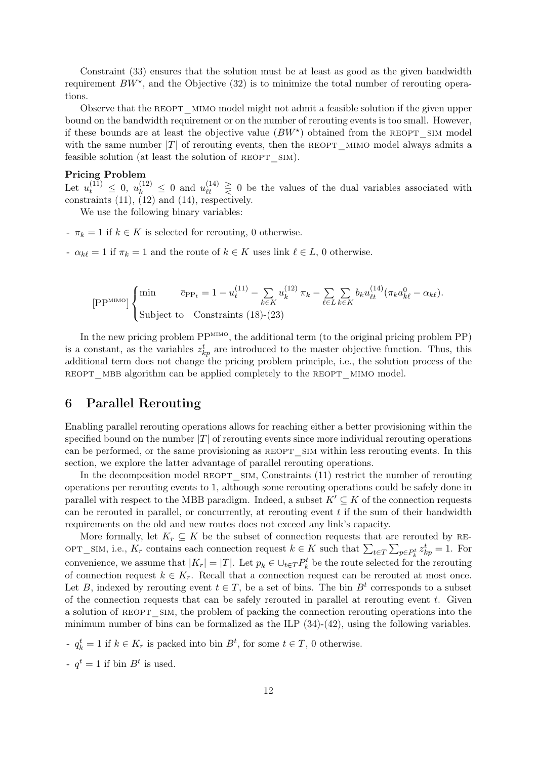Constraint (33) ensures that the solution must be at least as good as the given bandwidth requirement  $BW^*$ , and the Objective (32) is to minimize the total number of rerouting operations.

Observe that the REOPT MIMO model might not admit a feasible solution if the given upper bound on the bandwidth requirement or on the number of rerouting events is too small. However, if these bounds are at least the objective value  $(BW^*)$  obtained from the REOPT SIM model with the same number  $|T|$  of rerouting events, then the REOPT MIMO model always admits a feasible solution (at least the solution of REOPT SIM).

#### Pricing Problem

Let  $u_t^{(11)} \leq 0$ ,  $u_k^{(12)} \leq 0$  and  $u_{\ell t}^{(14)} \geq 0$  be the values of the dual variables associated with constraints (11), (12) and (14), respectively.

We use the following binary variables:

- $-\pi_k = 1$  if  $k \in K$  is selected for rerouting, 0 otherwise.
- $\alpha_{k\ell} = 1$  if  $\pi_k = 1$  and the route of  $k \in K$  uses link  $\ell \in L$ , 0 otherwise.

$$
[\text{PP}^{\text{MIMO}}] \begin{cases} \min & \bar{c}_{\text{PP}_t} = 1 - u_t^{(11)} - \sum_{k \in K} u_k^{(12)} \pi_k - \sum_{\ell \in L} \sum_{k \in K} b_k u_{\ell t}^{(14)} (\pi_k a_{k\ell}^0 - \alpha_{k\ell}).\\ \text{Subject to \quad Constraints (18)-(23) \end{cases}
$$

In the new pricing problem PP<sup>MIMO</sup>, the additional term (to the original pricing problem PP) is a constant, as the variables  $z_{kp}^t$  are introduced to the master objective function. Thus, this additional term does not change the pricing problem principle, i.e., the solution process of the reopt\_mbb algorithm can be applied completely to the reopt\_mimo model.

## 6 Parallel Rerouting

Enabling parallel rerouting operations allows for reaching either a better provisioning within the specified bound on the number  $|T|$  of rerouting events since more individual rerouting operations can be performed, or the same provisioning as REOPT SIM within less rerouting events. In this section, we explore the latter advantage of parallel rerouting operations.

In the decomposition model REOPT SIM, Constraints (11) restrict the number of rerouting operations per rerouting events to 1, although some rerouting operations could be safely done in parallel with respect to the MBB paradigm. Indeed, a subset  $K' \subseteq K$  of the connection requests can be rerouted in parallel, or concurrently, at rerouting event  $t$  if the sum of their bandwidth requirements on the old and new routes does not exceed any link's capacity.

More formally, let  $K_r \subseteq K$  be the subset of connection requests that are rerouted by RE-OPT\_SIM, i.e.,  $K_r$  contains each connection request  $k \in K$  such that  $\sum_{t \in T} \sum_{p \in P_k^t} z_{kp}^t = 1$ . For convenience, we assume that  $|K_r| = |T|$ . Let  $p_k \in \bigcup_{t \in T} P_k^t$  be the route selected for the rerouting of connection request  $k \in K_r$ . Recall that a connection request can be rerouted at most once. Let B, indexed by rerouting event  $t \in T$ , be a set of bins. The bin  $B<sup>t</sup>$  corresponds to a subset of the connection requests that can be safely rerouted in parallel at rerouting event  $t$ . Given a solution of REOPT SIM, the problem of packing the connection rerouting operations into the minimum number of bins can be formalized as the ILP (34)-(42), using the following variables.

- $q_k^t = 1$  if  $k \in K_r$  is packed into bin  $B^t$ , for some  $t \in T$ , 0 otherwise.
- $q^t = 1$  if bin  $B^t$  is used.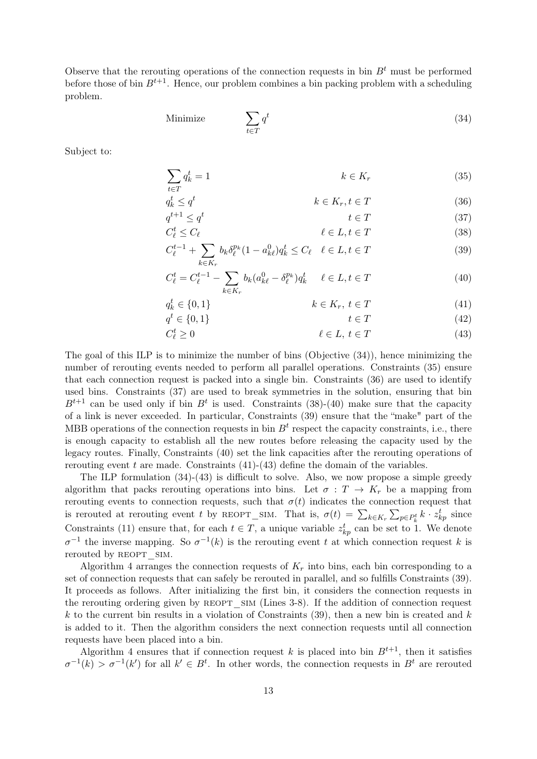Observe that the rerouting operations of the connection requests in bin  $B<sup>t</sup>$  must be performed before those of bin  $B^{t+1}$ . Hence, our problem combines a bin packing problem with a scheduling problem.

Minimize 
$$
\sum_{t \in T} q^t
$$
 (34)

Subject to:

 $\overline{q}$ t

$$
\sum_{t \in T} q_k^t = 1 \qquad k \in K_r \tag{35}
$$

$$
k \le q^t \qquad \qquad k \in K_r, t \in T \tag{36}
$$

$$
q^{t+1} \le q^t \qquad \qquad t \in T \tag{37}
$$
  

$$
C_{\ell}^t \le C_{\ell} \qquad \qquad \ell \in L, t \in T \tag{38}
$$

$$
C_{\ell}^{t-1} + \sum_{k \in K_r} b_k \delta_{\ell}^{p_k} (1 - a_{k\ell}^0) q_k^t \le C_{\ell} \quad \ell \in L, t \in T
$$
\n(39)

$$
C_{\ell}^{t} = C_{\ell}^{t-1} - \sum_{k \in K_{r}} b_{k} (a_{k\ell}^{0} - \delta_{\ell}^{p_{k}}) q_{k}^{t} \quad \ell \in L, t \in T
$$
\n(40)

$$
q_k^t \in \{0, 1\} \qquad \qquad k \in K_r, \ t \in T \tag{41}
$$

$$
q^t \in \{0, 1\} \qquad \qquad t \in T \tag{42}
$$

$$
C_{\ell}^{t} \ge 0 \qquad \qquad \ell \in L, \ t \in T \qquad (43)
$$

The goal of this ILP is to minimize the number of bins (Objective (34)), hence minimizing the number of rerouting events needed to perform all parallel operations. Constraints (35) ensure that each connection request is packed into a single bin. Constraints (36) are used to identify used bins. Constraints (37) are used to break symmetries in the solution, ensuring that bin  $B^{t+1}$  can be used only if bin  $B^t$  is used. Constraints (38)-(40) make sure that the capacity of a link is never exceeded. In particular, Constraints (39) ensure that the "make" part of the MBB operations of the connection requests in bin  $B<sup>t</sup>$  respect the capacity constraints, i.e., there is enough capacity to establish all the new routes before releasing the capacity used by the legacy routes. Finally, Constraints (40) set the link capacities after the rerouting operations of rerouting event t are made. Constraints  $(41)-(43)$  define the domain of the variables.

The ILP formulation (34)-(43) is difficult to solve. Also, we now propose a simple greedy algorithm that packs rerouting operations into bins. Let  $\sigma : T \to K_r$  be a mapping from rerouting events to connection requests, such that  $\sigma(t)$  indicates the connection request that is rerouted at rerouting event t by REOPT\_SIM. That is,  $\sigma(t) = \sum_{k \in K_r} \sum_{p \in P_k^t} k \cdot z_{kp}^t$  since Constraints (11) ensure that, for each  $t \in T$ , a unique variable  $z_{kp}^t$  can be set to 1. We denote  $\sigma^{-1}$  the inverse mapping. So  $\sigma^{-1}(k)$  is the rerouting event t at which connection request k is rerouted by REOPT SIM.

Algorithm 4 arranges the connection requests of  $K_r$  into bins, each bin corresponding to a set of connection requests that can safely be rerouted in parallel, and so fulfills Constraints (39). It proceeds as follows. After initializing the first bin, it considers the connection requests in the rerouting ordering given by REOPT SIM (Lines 3-8). If the addition of connection request  $k$  to the current bin results in a violation of Constraints (39), then a new bin is created and  $k$ is added to it. Then the algorithm considers the next connection requests until all connection requests have been placed into a bin.

Algorithm 4 ensures that if connection request k is placed into bin  $B^{t+1}$ , then it satisfies  $\sigma^{-1}(k) > \sigma^{-1}(k')$  for all  $k' \in B^t$ . In other words, the connection requests in  $B^t$  are rerouted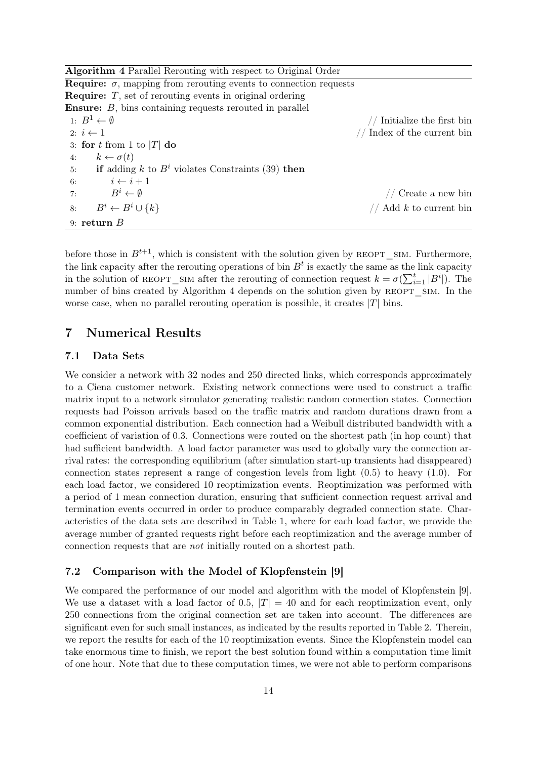Algorithm 4 Parallel Rerouting with respect to Original Order

| <b>Require:</b> $\sigma$ , mapping from rerouting events to connection requests |                               |
|---------------------------------------------------------------------------------|-------------------------------|
| <b>Require:</b> $T$ , set of rerouting events in original ordering              |                               |
| <b>Ensure:</b> B, bins containing requests rerouted in parallel                 |                               |
| 1: $B^1 \leftarrow \emptyset$                                                   | Initialize the first bin      |
| 2: $i \leftarrow 1$                                                             | $//$ Index of the current bin |
| 3: for t from 1 to  T  do                                                       |                               |
| $k \leftarrow \sigma(t)$<br>4:                                                  |                               |
| if adding k to $B^i$ violates Constraints (39) then<br>5:                       |                               |
| $i \leftarrow i+1$<br>6:                                                        |                               |
| 7:<br>$B^i \leftarrow \emptyset$                                                | // Create a new bin           |
| $B^i \leftarrow B^i \cup \{k\}$<br>8:                                           | // Add $k$ to current bin     |
| 9: return $B$                                                                   |                               |

before those in  $B^{t+1}$ , which is consistent with the solution given by REOPT SIM. Furthermore, the link capacity after the rerouting operations of bin  $B<sup>t</sup>$  is exactly the same as the link capacity in the solution of REOPT SIM after the rerouting of connection request  $k = \sigma(\sum_{i=1}^t |B^i|)$ . The number of bins created by Algorithm 4 depends on the solution given by REOPT SIM. In the worse case, when no parallel rerouting operation is possible, it creates  $|T|$  bins.

## 7 Numerical Results

#### 7.1 Data Sets

We consider a network with 32 nodes and 250 directed links, which corresponds approximately to a Ciena customer network. Existing network connections were used to construct a traffic matrix input to a network simulator generating realistic random connection states. Connection requests had Poisson arrivals based on the traffic matrix and random durations drawn from a common exponential distribution. Each connection had a Weibull distributed bandwidth with a coefficient of variation of 0.3. Connections were routed on the shortest path (in hop count) that had sufficient bandwidth. A load factor parameter was used to globally vary the connection arrival rates: the corresponding equilibrium (after simulation start-up transients had disappeared) connection states represent a range of congestion levels from light (0.5) to heavy (1.0). For each load factor, we considered 10 reoptimization events. Reoptimization was performed with a period of 1 mean connection duration, ensuring that sufficient connection request arrival and termination events occurred in order to produce comparably degraded connection state. Characteristics of the data sets are described in Table 1, where for each load factor, we provide the average number of granted requests right before each reoptimization and the average number of connection requests that are not initially routed on a shortest path.

#### 7.2 Comparison with the Model of Klopfenstein [9]

We compared the performance of our model and algorithm with the model of Klopfenstein [9]. We use a dataset with a load factor of 0.5,  $|T| = 40$  and for each reoptimization event, only 250 connections from the original connection set are taken into account. The differences are significant even for such small instances, as indicated by the results reported in Table 2. Therein, we report the results for each of the 10 reoptimization events. Since the Klopfenstein model can take enormous time to finish, we report the best solution found within a computation time limit of one hour. Note that due to these computation times, we were not able to perform comparisons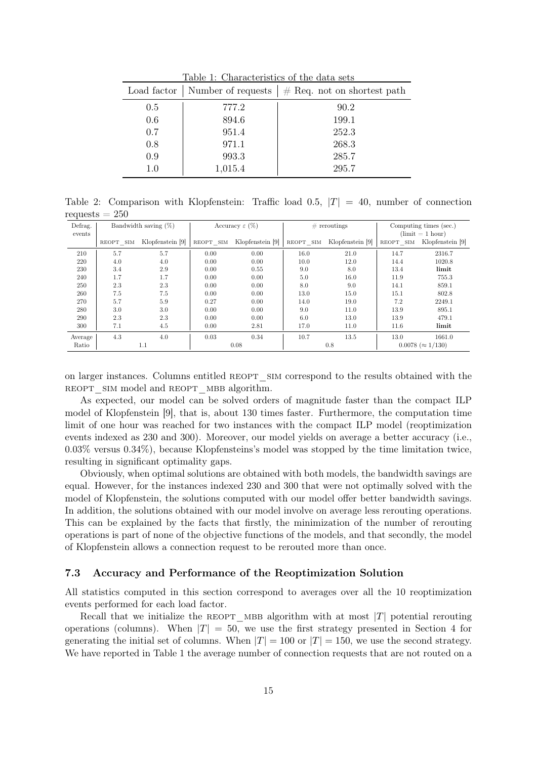| Load factor $ $ |         | Number of requests $\vert \#$ Req. not on shortest path |
|-----------------|---------|---------------------------------------------------------|
| 0.5             | 777.2   | 90.2                                                    |
| 0.6             | 894.6   | 199.1                                                   |
| 0.7             | 951.4   | 252.3                                                   |
| 0.8             | 971.1   | 268.3                                                   |
| 0.9             | 993.3   | 285.7                                                   |
| $1.0\,$         | 1,015.4 | 295.7                                                   |

Table 1: Characteristics of the data sets

Table 2: Comparison with Klopfenstein: Traffic load 0.5,  $|T| = 40$ , number of connection requests  $= 250$ 

| $\mathbf{r}$ |                         |                  |      |                            |           |                  |                        |                        |  |
|--------------|-------------------------|------------------|------|----------------------------|-----------|------------------|------------------------|------------------------|--|
| Defrag.      | Bandwidth saving $(\%)$ |                  |      | Accuracy $\varepsilon$ (%) |           | $\#$ reroutings  | Computing times (sec.) |                        |  |
| events       |                         |                  |      |                            |           |                  | $(limit = 1 hour)$     |                        |  |
|              | REOPT SIM               | Klopfenstein [9] |      | REOPT SIM Klopfenstein [9] | REOPT SIM | Klopfenstein [9] | REOPT SIM              | Klopfenstein [9]       |  |
| 210          | 5.7                     | 5.7              | 0.00 | 0.00                       | 16.0      | 21.0             | 14.7                   | 2316.7                 |  |
| 220          | 4.0                     | 4.0              | 0.00 | 0.00                       | 10.0      | 12.0             | 14.4                   | 1020.8                 |  |
| 230          | 3.4                     | 2.9              | 0.00 | 0.55                       | 9.0       | 8.0              | 13.4                   | limit                  |  |
| 240          | 1.7                     | 1.7              | 0.00 | 0.00                       | 5.0       | 16.0             | 11.9                   | 755.3                  |  |
| 250          | 2.3                     | 2.3              | 0.00 | 0.00                       | 8.0       | 9.0              | 14.1                   | 859.1                  |  |
| 260          | 7.5                     | 7.5              | 0.00 | 0.00                       | 13.0      | 15.0             | 15.1                   | 802.8                  |  |
| 270          | 5.7                     | 5.9              | 0.27 | 0.00                       | 14.0      | 19.0             | 7.2                    | 2249.1                 |  |
| 280          | 3.0                     | 3.0              | 0.00 | 0.00                       | 9.0       | 11.0             | 13.9                   | 895.1                  |  |
| 290          | 2.3                     | 2.3              | 0.00 | 0.00                       | 6.0       | 13.0             | 13.9                   | 479.1                  |  |
| 300          | 7.1                     | 4.5              | 0.00 | 2.81                       | 17.0      | 11.0             | 11.6                   | limit                  |  |
| Average      | 4.3                     | 4.0              | 0.03 | 0.34                       | 10.7      | 13.5             | 13.0                   | 1661.0                 |  |
| Ratio        |                         | 1.1              |      | 0.08                       |           | 0.8              |                        | $0.0078 \approx 1/130$ |  |
|              |                         |                  |      |                            |           |                  |                        |                        |  |

on larger instances. Columns entitled REOPT SIM correspond to the results obtained with the REOPT SIM model and REOPT MBB algorithm.

As expected, our model can be solved orders of magnitude faster than the compact ILP model of Klopfenstein [9], that is, about 130 times faster. Furthermore, the computation time limit of one hour was reached for two instances with the compact ILP model (reoptimization events indexed as 230 and 300). Moreover, our model yields on average a better accuracy (i.e., 0.03% versus 0.34%), because Klopfensteins's model was stopped by the time limitation twice, resulting in significant optimality gaps.

Obviously, when optimal solutions are obtained with both models, the bandwidth savings are equal. However, for the instances indexed 230 and 300 that were not optimally solved with the model of Klopfenstein, the solutions computed with our model offer better bandwidth savings. In addition, the solutions obtained with our model involve on average less rerouting operations. This can be explained by the facts that firstly, the minimization of the number of rerouting operations is part of none of the objective functions of the models, and that secondly, the model of Klopfenstein allows a connection request to be rerouted more than once.

#### 7.3 Accuracy and Performance of the Reoptimization Solution

All statistics computed in this section correspond to averages over all the 10 reoptimization events performed for each load factor.

Recall that we initialize the REOPT MBB algorithm with at most  $|T|$  potential rerouting operations (columns). When  $|T| = 50$ , we use the first strategy presented in Section 4 for generating the initial set of columns. When  $|T| = 100$  or  $|T| = 150$ , we use the second strategy. We have reported in Table 1 the average number of connection requests that are not routed on a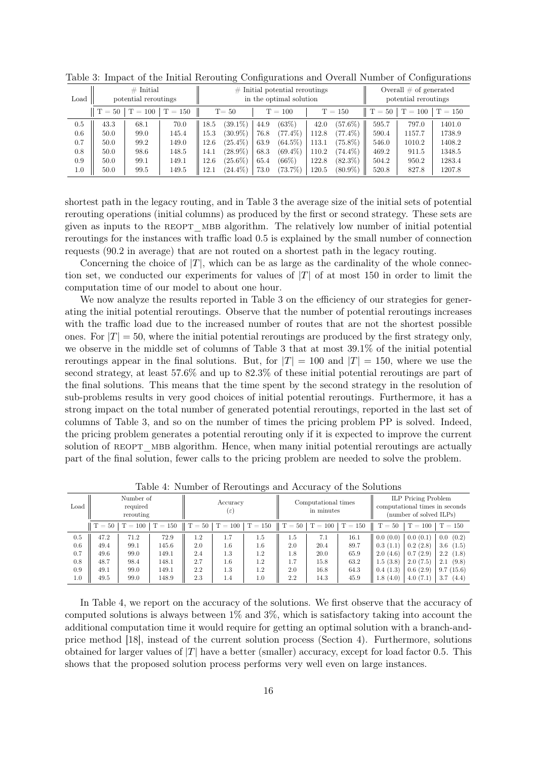| Load |                    | $\#$ Initial<br>potential reroutings |           |      |            |      | $#$ Initial potential reroutings<br>in the optimal solution | Overall $\#$ of generated<br>potential reroutings |            |          |           |           |
|------|--------------------|--------------------------------------|-----------|------|------------|------|-------------------------------------------------------------|---------------------------------------------------|------------|----------|-----------|-----------|
|      | $\parallel$ T = 50 | $T = 100$                            | $T = 150$ |      | $T = 50$   |      | $T = 100$                                                   |                                                   | $T = 150$  | $T = 50$ | $T = 100$ | $T = 150$ |
| 0.5  | 43.3               | 68.1                                 | 70.0      | 18.5 | $(39.1\%)$ | 44.9 | (63%)                                                       | 42.0                                              | $(57.6\%)$ | 595.7    | 797.0     | 1401.0    |
| 0.6  | 50.0               | 99.0                                 | 145.4     | 15.3 | $(30.9\%)$ | 76.8 | $(77.4\%)$                                                  | 112.8                                             | $(77.4\%)$ | 590.4    | 1157.7    | 1738.9    |
| 0.7  | 50.0               | 99.2                                 | 149.0     | 12.6 | $(25.4\%)$ | 63.9 | $(64.5\%)$                                                  | 113.1                                             | $(75.8\%)$ | 546.0    | 1010.2    | 1408.2    |
| 0.8  | 50.0               | 98.6                                 | 148.5     | 14.1 | $(28.9\%)$ | 68.3 | $(69.4\%)$                                                  | 110.2                                             | $(74.4\%)$ | 469.2    | 911.5     | 1348.5    |
| 0.9  | 50.0               | 99.1                                 | 149.1     | 12.6 | $(25.6\%)$ | 65.4 | $(66\%)$                                                    | 122.8                                             | $(82.3\%)$ | 504.2    | 950.2     | 1283.4    |
| 1.0  | 50.0               | 99.5                                 | 149.5     | 12.1 | $(24.4\%)$ | 73.0 | (73.7%)                                                     | 120.5                                             | $(80.9\%)$ | 520.8    | 827.8     | 1207.8    |

Table 3: Impact of the Initial Rerouting Configurations and Overall Number of Configurations

shortest path in the legacy routing, and in Table 3 the average size of the initial sets of potential rerouting operations (initial columns) as produced by the first or second strategy. These sets are given as inputs to the REOPT MBB algorithm. The relatively low number of initial potential reroutings for the instances with traffic load 0.5 is explained by the small number of connection requests (90.2 in average) that are not routed on a shortest path in the legacy routing.

Concerning the choice of  $|T|$ , which can be as large as the cardinality of the whole connection set, we conducted our experiments for values of  $|T|$  of at most 150 in order to limit the computation time of our model to about one hour.

We now analyze the results reported in Table 3 on the efficiency of our strategies for generating the initial potential reroutings. Observe that the number of potential reroutings increases with the traffic load due to the increased number of routes that are not the shortest possible ones. For  $|T| = 50$ , where the initial potential reroutings are produced by the first strategy only, we observe in the middle set of columns of Table 3 that at most 39.1% of the initial potential reroutings appear in the final solutions. But, for  $|T| = 100$  and  $|T| = 150$ , where we use the second strategy, at least 57.6% and up to 82.3% of these initial potential reroutings are part of the final solutions. This means that the time spent by the second strategy in the resolution of sub-problems results in very good choices of initial potential reroutings. Furthermore, it has a strong impact on the total number of generated potential reroutings, reported in the last set of columns of Table 3, and so on the number of times the pricing problem PP is solved. Indeed, the pricing problem generates a potential rerouting only if it is expected to improve the current solution of REOPT MBB algorithm. Hence, when many initial potential reroutings are actually part of the final solution, fewer calls to the pricing problem are needed to solve the problem.

| Load |                    | Number of<br>required<br>rerouting |           | Accuracy<br>$(\varepsilon)$ |                  |           |                  | Computational times<br>in minutes |           | <b>ILP</b> Pricing Problem<br>computational times in seconds<br>(number of solved ILPs) |           |                           |
|------|--------------------|------------------------------------|-----------|-----------------------------|------------------|-----------|------------------|-----------------------------------|-----------|-----------------------------------------------------------------------------------------|-----------|---------------------------|
|      | $\parallel$ T = 50 | $T = 100$                          | $T = 150$ |                             | $T = 50$ T = 100 | $T = 150$ | $T = 50$ T = 100 |                                   | $T = 150$ | $T = 50$                                                                                | $T = 100$ | $T = 150$                 |
| 0.5  | 47.2               | 71.2                               | 72.9      | 1.2                         | 1.7              | 1.5       | 1.5              | 7.1                               | $16.1\,$  | 0.0(0.0)                                                                                | 0.0(0.1)  | 0.0 (0.2)                 |
| 0.6  | 49.4               | 99.1                               | 145.6     | 2.0                         | 1.6              | $1.6\,$   | 2.0              | 20.4                              | 89.7      | 0.3(1.1)                                                                                | 0.2(2.8)  | 3.6<br>(1.5)              |
| 0.7  | 49.6               | 99.0                               | 149.1     | 2.4                         | 1.3              | 1.2       | 1.8              | 20.0                              | 65.9      | 2.0(4.6)                                                                                | 0.7(2.9)  | $2.2\phantom{0}$<br>(1.8) |
| 0.8  | 48.7               | 98.4                               | 148.1     | 2.7                         | $1.6\,$          | 1.2       | 1.7              | 15.8                              | 63.2      | 1.5(3.8)                                                                                | 2.0(7.5)  | (9.8)<br>2.1              |
| 0.9  | 49.1               | 99.0                               | 149.1     | 2.2                         | 1.3              | 1.2       | 2.0              | 16.8                              | 64.3      | 0.4(1.3)                                                                                | 0.6(2.9)  | 9.7(15.6)                 |
| 1.0  | 49.5               | 99.0                               | 148.9     | 2.3                         | 1.4              | 1.0       | 2.2              | 14.3                              | 45.9      | 1.8(4.0)                                                                                | 4.0(7.1)  | 3.7<br>(4.4)              |

Table 4: Number of Reroutings and Accuracy of the Solutions

In Table 4, we report on the accuracy of the solutions. We first observe that the accuracy of computed solutions is always between 1% and 3%, which is satisfactory taking into account the additional computation time it would require for getting an optimal solution with a branch-andprice method [18], instead of the current solution process (Section 4). Furthermore, solutions obtained for larger values of  $|T|$  have a better (smaller) accuracy, except for load factor 0.5. This shows that the proposed solution process performs very well even on large instances.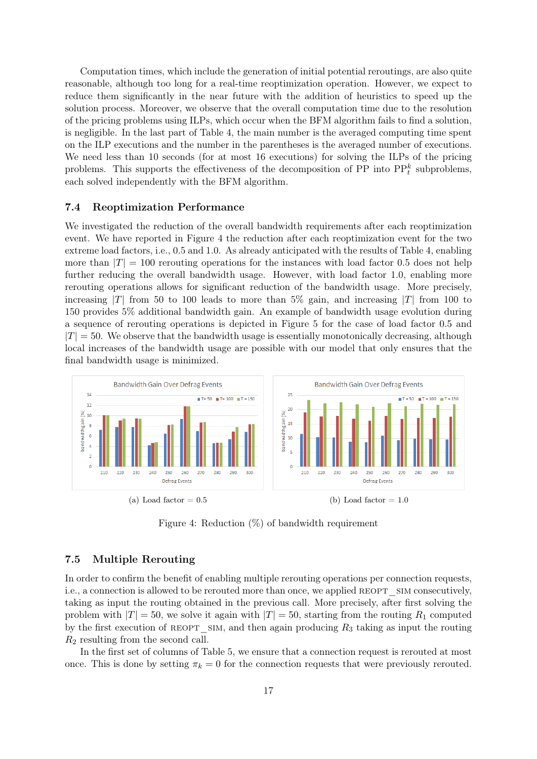Computation times, which include the generation of initial potential reroutings, are also quite reasonable, although too long for a real-time reoptimization operation. However, we expect to reduce them significantly in the near future with the addition of heuristics to speed up the solution process. Moreover, we observe that the overall computation time due to the resolution of the pricing problems using ILPs, which occur when the BFM algorithm fails to find a solution, is negligible. In the last part of Table 4, the main number is the averaged computing time spent on the ILP executions and the number in the parentheses is the averaged number of executions. We need less than 10 seconds (for at most 16 executions) for solving the ILPs of the pricing problems. This supports the effectiveness of the decomposition of PP into  $\text{PP}_{t}^{k}$  subproblems, each solved independently with the BFM algorithm.

#### 7.4 Reoptimization Performance

We investigated the reduction of the overall bandwidth requirements after each reoptimization event. We have reported in Figure 4 the reduction after each reoptimization event for the two extreme load factors, i.e., 0.5 and 1.0. As already anticipated with the results of Table 4, enabling more than  $|T| = 100$  rerouting operations for the instances with load factor 0.5 does not help further reducing the overall bandwidth usage. However, with load factor 1.0, enabling more rerouting operations allows for significant reduction of the bandwidth usage. More precisely, increasing  $|T|$  from 50 to 100 leads to more than 5% gain, and increasing  $|T|$  from 100 to 150 provides 5% additional bandwidth gain. An example of bandwidth usage evolution during a sequence of rerouting operations is depicted in Figure 5 for the case of load factor 0.5 and  $|T| = 50$ . We observe that the bandwidth usage is essentially monotonically decreasing, although local increases of the bandwidth usage are possible with our model that only ensures that the final bandwidth usage is minimized.



Figure 4: Reduction (%) of bandwidth requirement

#### 7.5 Multiple Rerouting

In order to confirm the benefit of enabling multiple rerouting operations per connection requests, i.e., a connection is allowed to be rerouted more than once, we applied REOPT SIM consecutively, taking as input the routing obtained in the previous call. More precisely, after first solving the problem with  $|T| = 50$ , we solve it again with  $|T| = 50$ , starting from the routing  $R_1$  computed by the first execution of REOPT SIM, and then again producing  $R_3$  taking as input the routing  $R_2$  resulting from the second call.

In the first set of columns of Table 5, we ensure that a connection request is rerouted at most once. This is done by setting  $\pi_k = 0$  for the connection requests that were previously rerouted.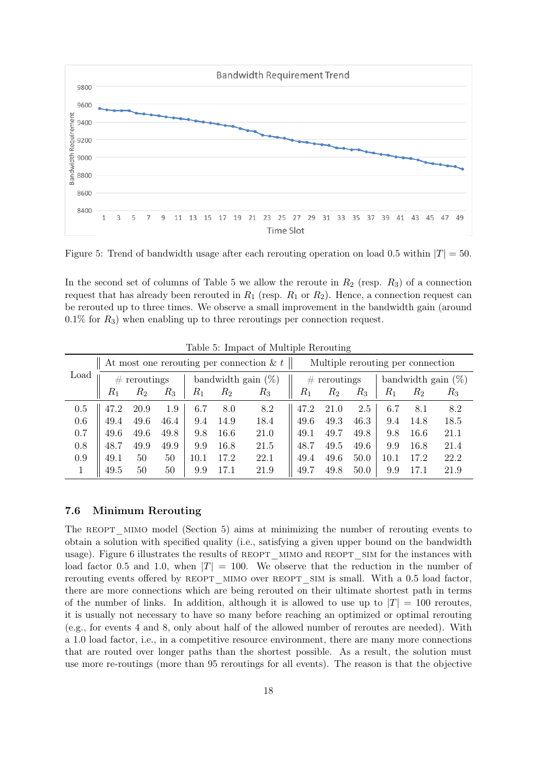

Figure 5: Trend of bandwidth usage after each rerouting operation on load 0.5 within  $|T| = 50$ .

In the second set of columns of Table 5 we allow the reroute in  $R_2$  (resp.  $R_3$ ) of a connection request that has already been rerouted in  $R_1$  (resp.  $R_1$  or  $R_2$ ). Hence, a connection request can be rerouted up to three times. We observe a small improvement in the bandwidth gain (around  $0.1\%$  for  $R_3$ ) when enabling up to three reroutings per connection request.

|      | At most one rerouting per connection & $t \parallel$<br>Multiple rerouting per connection |       |       |                       |       |       |                |       |       |                       |       |       |  |
|------|-------------------------------------------------------------------------------------------|-------|-------|-----------------------|-------|-------|----------------|-------|-------|-----------------------|-------|-------|--|
| Load | $#$ reroutings                                                                            |       |       | bandwidth gain $(\%)$ |       |       | $#$ reroutings |       |       | bandwidth gain $(\%)$ |       |       |  |
|      | $R_1$                                                                                     | $R_2$ | $R_3$ | $R_1$                 | $R_2$ | $R_3$ | $R_1$          | $R_2$ | $R_3$ | $R_{1}$               | $R_2$ | $R_3$ |  |
| 0.5  | 47.2                                                                                      | 20.9  | 1.9   | 6.7                   | 8.0   | 8.2   | 47.2           | 21.0  | 2.5   | 6.7                   | 8.1   | 8.2   |  |
| 0.6  | 49.4                                                                                      | 49.6  | 46.4  | 9.4                   | 14.9  | 18.4  | 49.6           | 49.3  | 46.3  | 9.4                   | 14.8  | 18.5  |  |
| 0.7  | 49.6                                                                                      | 49.6  | 49.8  | 9.8                   | 16.6  | 21.0  | 49.1           | 49.7  | 49.8  | 9.8                   | 16.6  | 21.1  |  |
| 0.8  | 48.7                                                                                      | 49.9  | 49.9  | 9.9                   | 16.8  | 21.5  | 48.7           | 49.5  | 49.6  | 9.9                   | 16.8  | 21.4  |  |
| 0.9  | 49.1                                                                                      | 50    | 50    | 10.1                  | 17.2  | 22.1  | 49.4           | 49.6  | 50.0  | 10.1                  | 17.2  | 22.2  |  |
|      | 49.5                                                                                      | 50    | 50    | 9.9                   | 17.1  | 21.9  | 49.7           | 49.8  | 50.0  | 9.9                   |       | 21.9  |  |

Table 5: Impact of Multiple Rerouting

#### 7.6 Minimum Rerouting

The REOPT MIMO model (Section 5) aims at minimizing the number of rerouting events to obtain a solution with specified quality (i.e., satisfying a given upper bound on the bandwidth usage). Figure 6 illustrates the results of REOPT MIMO and REOPT SIM for the instances with load factor 0.5 and 1.0, when  $|T| = 100$ . We observe that the reduction in the number of rerouting events offered by REOPT MIMO over REOPT SIM is small. With a 0.5 load factor, there are more connections which are being rerouted on their ultimate shortest path in terms of the number of links. In addition, although it is allowed to use up to  $|T| = 100$  reroutes, it is usually not necessary to have so many before reaching an optimized or optimal rerouting (e.g., for events 4 and 8, only about half of the allowed number of reroutes are needed). With a 1.0 load factor, i.e., in a competitive resource environment, there are many more connections that are routed over longer paths than the shortest possible. As a result, the solution must use more re-routings (more than 95 reroutings for all events). The reason is that the objective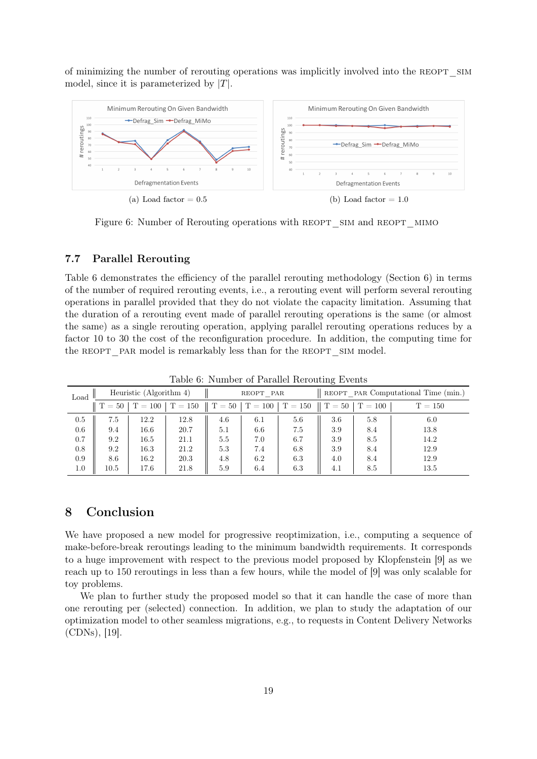of minimizing the number of rerouting operations was implicitly involved into the REOPT SIM model, since it is parameterized by  $|T|$ .



Figure 6: Number of Rerouting operations with REOPT\_SIM and REOPT\_MIMO

#### 7.7 Parallel Rerouting

Table 6 demonstrates the efficiency of the parallel rerouting methodology (Section 6) in terms of the number of required rerouting events, i.e., a rerouting event will perform several rerouting operations in parallel provided that they do not violate the capacity limitation. Assuming that the duration of a rerouting event made of parallel rerouting operations is the same (or almost the same) as a single rerouting operation, applying parallel rerouting operations reduces by a factor 10 to 30 the cost of the reconfiguration procedure. In addition, the computing time for the REOPT PAR model is remarkably less than for the REOPT SIM model.

| Load    |          | Heuristic (Algorithm 4) |           |            | REOPT PAR |           | REOPT PAR Computational Time (min.) |           |           |  |
|---------|----------|-------------------------|-----------|------------|-----------|-----------|-------------------------------------|-----------|-----------|--|
|         | $T = 50$ | $T = 100$               | $T = 150$ | $\rm T=50$ | $T = 100$ | $T = 150$ | $\parallel$ T = 50                  | $T = 100$ | $T = 150$ |  |
| 0.5     | 7.5      | 12.2                    | 12.8      | 4.6        | 6.1       | 5.6       | 3.6                                 | 5.8       | 6.0       |  |
| 0.6     | 9.4      | 16.6                    | 20.7      | 5.1        | 6.6       | 7.5       | 3.9                                 | 8.4       | 13.8      |  |
| 0.7     | 9.2      | 16.5                    | 21.1      | 5.5        | 7.0       | 6.7       | 3.9                                 | 8.5       | 14.2      |  |
| 0.8     | 9.2      | 16.3                    | 21.2      | 5.3        | 7.4       | 6.8       | 3.9                                 | 8.4       | 12.9      |  |
| 0.9     | 8.6      | 16.2                    | 20.3      | 4.8        | 6.2       | 6.3       | 4.0                                 | 8.4       | 12.9      |  |
| $1.0\,$ | 10.5     | 17.6                    | 21.8      | 5.9        | 6.4       | 6.3       | 4.1                                 | 8.5       | 13.5      |  |

Table 6: Number of Parallel Rerouting Events

## 8 Conclusion

We have proposed a new model for progressive reoptimization, i.e., computing a sequence of make-before-break reroutings leading to the minimum bandwidth requirements. It corresponds to a huge improvement with respect to the previous model proposed by Klopfenstein [9] as we reach up to 150 reroutings in less than a few hours, while the model of [9] was only scalable for toy problems.

We plan to further study the proposed model so that it can handle the case of more than one rerouting per (selected) connection. In addition, we plan to study the adaptation of our optimization model to other seamless migrations, e.g., to requests in Content Delivery Networks (CDNs), [19].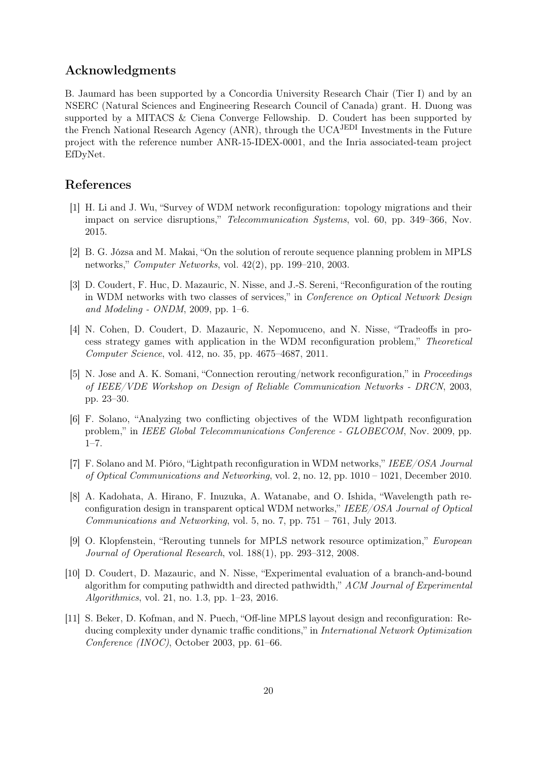## Acknowledgments

B. Jaumard has been supported by a Concordia University Research Chair (Tier I) and by an NSERC (Natural Sciences and Engineering Research Council of Canada) grant. H. Duong was supported by a MITACS & Ciena Converge Fellowship. D. Coudert has been supported by the French National Research Agency (ANR), through the UCAJEDI Investments in the Future project with the reference number ANR-15-IDEX-0001, and the Inria associated-team project EfDyNet.

## References

- [1] H. Li and J. Wu, "Survey of WDM network reconfiguration: topology migrations and their impact on service disruptions," Telecommunication Systems, vol. 60, pp. 349–366, Nov. 2015.
- [2] B. G. Józsa and M. Makai, "On the solution of reroute sequence planning problem in MPLS networks," Computer Networks, vol. 42(2), pp. 199–210, 2003.
- [3] D. Coudert, F. Huc, D. Mazauric, N. Nisse, and J.-S. Sereni, "Reconfiguration of the routing in WDM networks with two classes of services," in Conference on Optical Network Design and Modeling - ONDM, 2009, pp. 1–6.
- [4] N. Cohen, D. Coudert, D. Mazauric, N. Nepomuceno, and N. Nisse, "Tradeoffs in process strategy games with application in the WDM reconfiguration problem," Theoretical Computer Science, vol. 412, no. 35, pp. 4675–4687, 2011.
- [5] N. Jose and A. K. Somani, "Connection rerouting/network reconfiguration," in Proceedings of IEEE/VDE Workshop on Design of Reliable Communication Networks - DRCN, 2003, pp. 23–30.
- [6] F. Solano, "Analyzing two conflicting objectives of the WDM lightpath reconfiguration problem," in IEEE Global Telecommunications Conference - GLOBECOM, Nov. 2009, pp. 1–7.
- [7] F. Solano and M. Pióro, "Lightpath reconfiguration in WDM networks," IEEE/OSA Journal of Optical Communications and Networking, vol. 2, no. 12, pp. 1010 – 1021, December 2010.
- [8] A. Kadohata, A. Hirano, F. Inuzuka, A. Watanabe, and O. Ishida, "Wavelength path reconfiguration design in transparent optical WDM networks," IEEE/OSA Journal of Optical Communications and Networking, vol. 5, no. 7, pp.  $751 - 761$ , July 2013.
- [9] O. Klopfenstein, "Rerouting tunnels for MPLS network resource optimization," European Journal of Operational Research, vol. 188(1), pp. 293–312, 2008.
- [10] D. Coudert, D. Mazauric, and N. Nisse, "Experimental evaluation of a branch-and-bound algorithm for computing pathwidth and directed pathwidth," ACM Journal of Experimental Algorithmics, vol. 21, no. 1.3, pp. 1–23, 2016.
- [11] S. Beker, D. Kofman, and N. Puech, "Off-line MPLS layout design and reconfiguration: Reducing complexity under dynamic traffic conditions," in International Network Optimization Conference (INOC), October 2003, pp. 61–66.